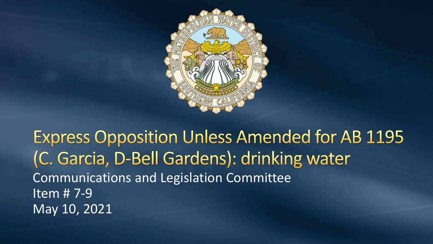

**Express Opposition Unless Amended for AB 1195** (C. Garcia, D-Bell Gardens): drinking water Communications and Legislation Committee Item # 7-9 May 10, 2021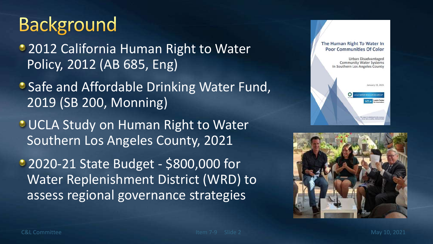## **Background**

- **2012 California Human Right to Water** Policy, 2012 (AB 685, Eng)
- Safe and Affordable Drinking Water Fund, 2019 (SB 200, Monning)
- **OUCLA Study on Human Right to Water** Southern Los Angeles County, 2021
- 2020-21 State Budget \$800,000 for Water Replenishment District (WRD) to assess regional governance strategies



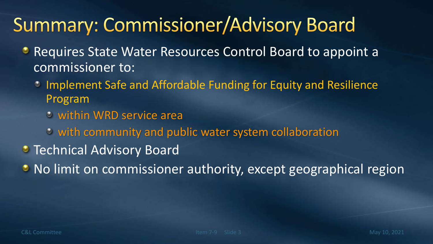# **Summary: Commissioner/Advisory Board**

- Requires State Water Resources Control Board to appoint a commissioner to:
	- Implement Safe and Affordable Funding for Equity and Resilience Program
		- within WRD service area
		- with community and public water system collaboration
- **Technical Advisory Board**
- No limit on commissioner authority, except geographical region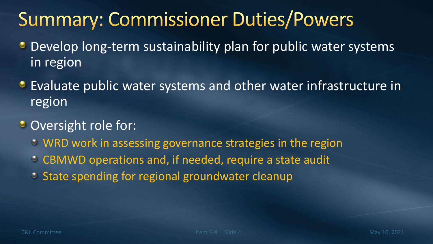# **Summary: Commissioner Duties/Powers**

- **Develop long-term sustainability plan for public water systems** in region
- **•** Evaluate public water systems and other water infrastructure in region
- Oversight role for:
	- WRD work in assessing governance strategies in the region
	- CBMWD operations and, if needed, require a state audit
	- **State spending for regional groundwater cleanup**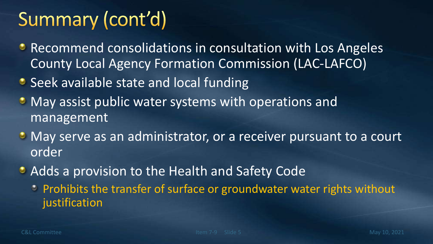# Summary (cont'd)

- Recommend consolidations in consultation with Los Angeles County Local Agency Formation Commission (LAC-LAFCO)
- Seek available state and local funding
- **May assist public water systems with operations and** management
- **May serve as an administrator, or a receiver pursuant to a court** order
- Adds a provision to the Health and Safety Code
	- **Prohibits the transfer of surface or groundwater water rights without** justification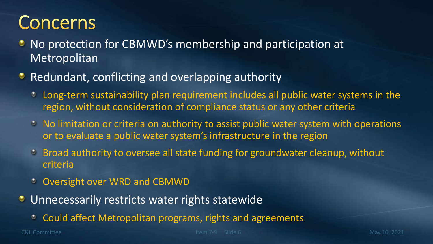## **Concerns**

- No protection for CBMWD's membership and participation at **Metropolitan**
- Redundant, conflicting and overlapping authority
	- Long-term sustainability plan requirement includes all public water systems in the  $\bullet$ region, without consideration of compliance status or any other criteria
	- $\circ$  No limitation or criteria on authority to assist public water system with operations or to evaluate a public water system's infrastructure in the region
	- Broad authority to oversee all state funding for groundwater cleanup, without criteria
	- Oversight over WRD and CBMWD
- **Unnecessarily restricts water rights statewide** 
	- Could affect Metropolitan programs, rights and agreements  $\bullet$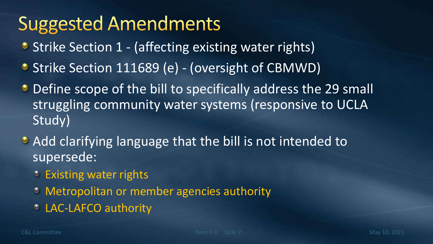# **Suggested Amendments**

- Strike Section 1 (affecting existing water rights)
- Strike Section 111689 (e) (oversight of CBMWD)
- Define scope of the bill to specifically address the 29 small struggling community water systems (responsive to UCLA Study)
- Add clarifying language that the bill is not intended to supersede:
	- Existing water rights
	- Metropolitan or member agencies authority
	- LAC-LAFCO authority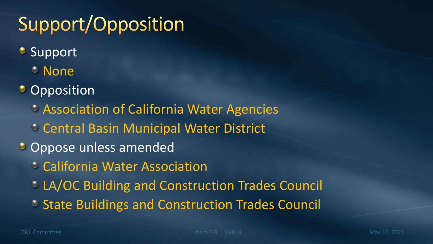# Support/Opposition

- **Support** 
	- **C** None
- **C** Opposition
	- Association of California Water Agencies
	- Central Basin Municipal Water District
- Oppose unless amended
	- California Water Association
	- LA/OC Building and Construction Trades Council
	- **State Buildings and Construction Trades Council**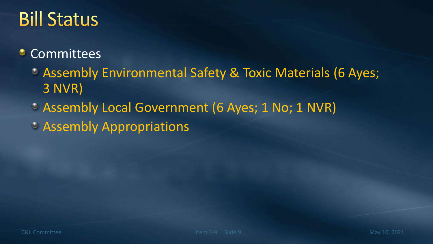# **Bill Status**

#### **Committees**

- Assembly Environmental Safety & Toxic Materials (6 Ayes; 3 NVR)
- Assembly Local Government (6 Ayes; 1 No; 1 NVR)
- Assembly Appropriations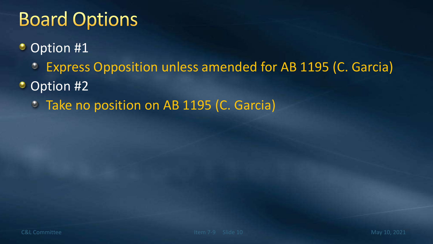# **Board Options**

- Option #1  $\bullet$ 
	- Express Opposition unless amended for AB 1195 (C. Garcia) ۰
- Option #2 ۰
	- **Take no position on AB 1195 (C. Garcia)**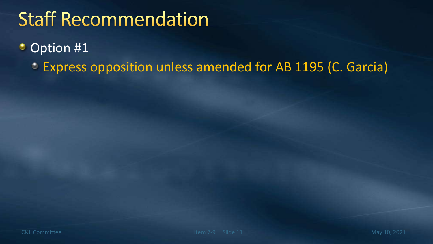# **Staff Recommendation**

#### Option #1 ۰

Express opposition unless amended for AB 1195 (C. Garcia) $\bullet$